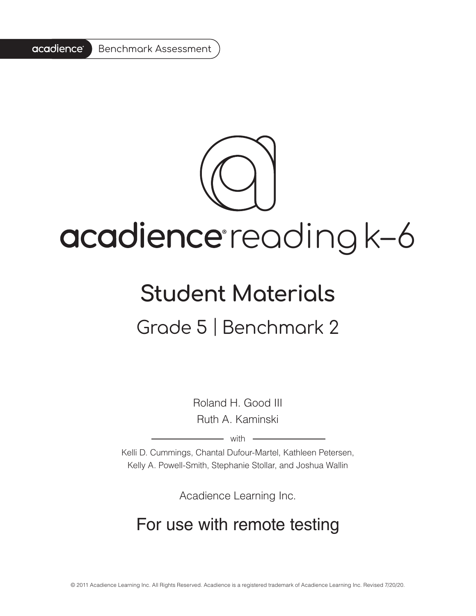#### acadience<sup>®</sup> Benchmark Assessment

# acadience reading k-6

### **Student Materials** Grade 5 | Benchmark 2

Roland H. Good III Ruth A. Kaminski

 $-$  with  $-$ 

Kelli D. Cummings, Chantal Dufour-Martel, Kathleen Petersen, Kelly A. Powell-Smith, Stephanie Stollar, and Joshua Wallin

Acadience Learning Inc.

#### For use with remote testing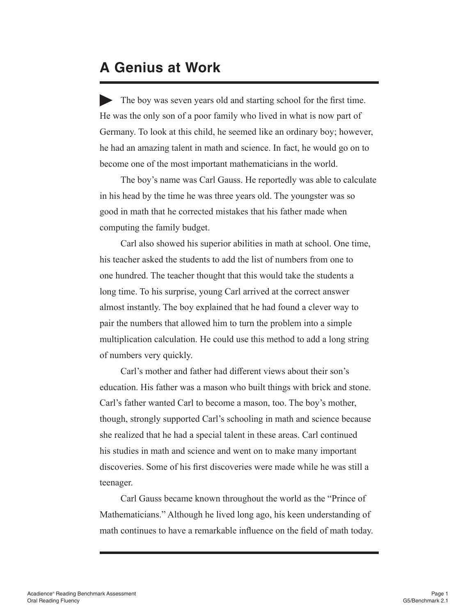#### **A Genius at Work**

The boy was seven years old and starting school for the first time. He was the only son of a poor family who lived in what is now part of Germany. To look at this child, he seemed like an ordinary boy; however, he had an amazing talent in math and science. In fact, he would go on to become one of the most important mathematicians in the world.

 The boy's name was Carl Gauss. He reportedly was able to calculate in his head by the time he was three years old. The youngster was so good in math that he corrected mistakes that his father made when computing the family budget.

 Carl also showed his superior abilities in math at school. One time, his teacher asked the students to add the list of numbers from one to one hundred. The teacher thought that this would take the students a long time. To his surprise, young Carl arrived at the correct answer almost instantly. The boy explained that he had found a clever way to pair the numbers that allowed him to turn the problem into a simple multiplication calculation. He could use this method to add a long string of numbers very quickly.

 Carl's mother and father had different views about their son's education. His father was a mason who built things with brick and stone. Carl's father wanted Carl to become a mason, too. The boy's mother, though, strongly supported Carl's schooling in math and science because she realized that he had a special talent in these areas. Carl continued his studies in math and science and went on to make many important discoveries. Some of his first discoveries were made while he was still a teenager.

 Carl Gauss became known throughout the world as the "Prince of Mathematicians." Although he lived long ago, his keen understanding of math continues to have a remarkable influence on the field of math today.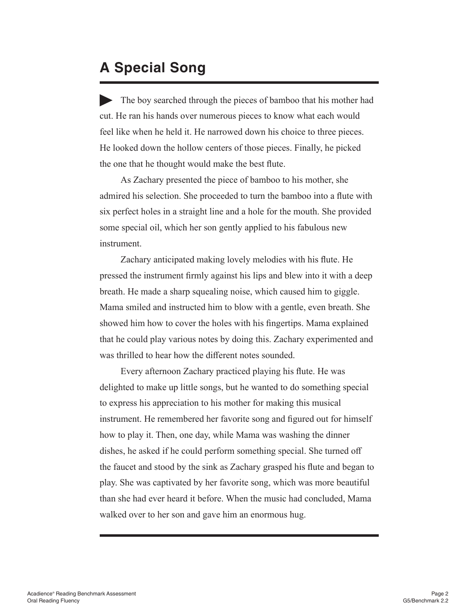#### **A Special Song**

The boy searched through the pieces of bamboo that his mother had cut. He ran his hands over numerous pieces to know what each would feel like when he held it. He narrowed down his choice to three pieces. He looked down the hollow centers of those pieces. Finally, he picked the one that he thought would make the best flute.

 As Zachary presented the piece of bamboo to his mother, she admired his selection. She proceeded to turn the bamboo into a flute with six perfect holes in a straight line and a hole for the mouth. She provided some special oil, which her son gently applied to his fabulous new instrument.

 Zachary anticipated making lovely melodies with his flute. He pressed the instrument firmly against his lips and blew into it with a deep breath. He made a sharp squealing noise, which caused him to giggle. Mama smiled and instructed him to blow with a gentle, even breath. She showed him how to cover the holes with his fingertips. Mama explained that he could play various notes by doing this. Zachary experimented and was thrilled to hear how the different notes sounded.

 Every afternoon Zachary practiced playing his flute. He was delighted to make up little songs, but he wanted to do something special to express his appreciation to his mother for making this musical instrument. He remembered her favorite song and figured out for himself how to play it. Then, one day, while Mama was washing the dinner dishes, he asked if he could perform something special. She turned off the faucet and stood by the sink as Zachary grasped his flute and began to play. She was captivated by her favorite song, which was more beautiful than she had ever heard it before. When the music had concluded, Mama walked over to her son and gave him an enormous hug.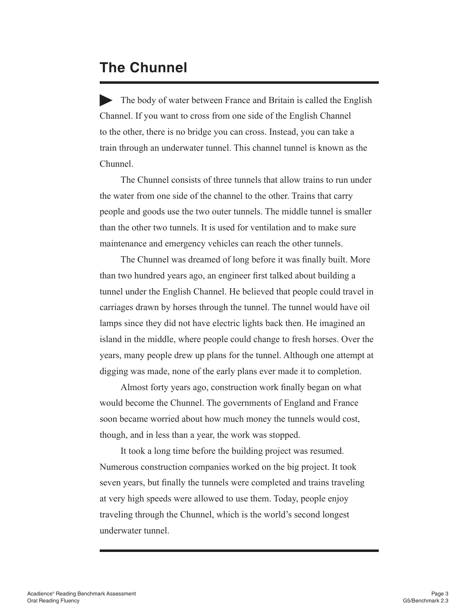#### **The Chunnel**

 The body of water between France and Britain is called the English Channel. If you want to cross from one side of the English Channel to the other, there is no bridge you can cross. Instead, you can take a train through an underwater tunnel. This channel tunnel is known as the Chunnel.

 The Chunnel consists of three tunnels that allow trains to run under the water from one side of the channel to the other. Trains that carry people and goods use the two outer tunnels. The middle tunnel is smaller than the other two tunnels. It is used for ventilation and to make sure maintenance and emergency vehicles can reach the other tunnels.

 The Chunnel was dreamed of long before it was finally built. More than two hundred years ago, an engineer first talked about building a tunnel under the English Channel. He believed that people could travel in carriages drawn by horses through the tunnel. The tunnel would have oil lamps since they did not have electric lights back then. He imagined an island in the middle, where people could change to fresh horses. Over the years, many people drew up plans for the tunnel. Although one attempt at digging was made, none of the early plans ever made it to completion.

 Almost forty years ago, construction work finally began on what would become the Chunnel. The governments of England and France soon became worried about how much money the tunnels would cost, though, and in less than a year, the work was stopped.

 It took a long time before the building project was resumed. Numerous construction companies worked on the big project. It took seven years, but finally the tunnels were completed and trains traveling at very high speeds were allowed to use them. Today, people enjoy traveling through the Chunnel, which is the world's second longest underwater tunnel.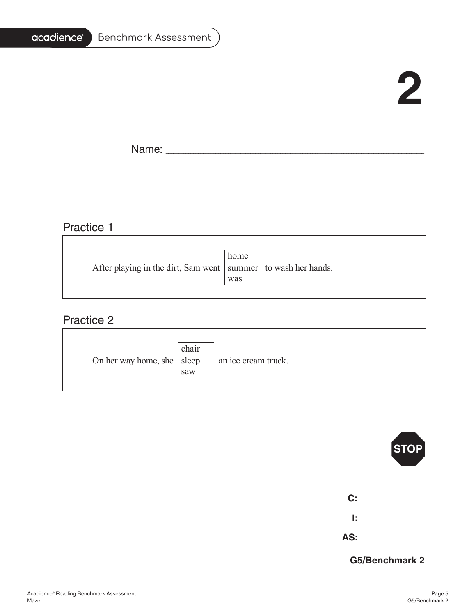#### acadience®

## **2**

Name: \_\_\_\_\_\_\_\_\_\_\_\_\_\_\_\_\_\_\_\_\_\_\_\_\_\_\_\_\_\_\_\_\_\_\_\_\_\_\_\_\_\_\_\_\_\_\_\_\_\_\_\_\_\_\_\_\_\_\_\_\_\_\_\_\_\_\_\_\_\_\_\_\_\_\_\_\_\_\_\_\_\_\_\_\_\_\_\_\_\_\_\_\_\_\_\_\_\_\_\_\_\_\_

#### Practice 1

|                                                                   | home |  |
|-------------------------------------------------------------------|------|--|
| After playing in the dirt, Sam went   summer   to wash her hands. |      |  |
|                                                                   | was  |  |
|                                                                   |      |  |

#### Practice 2

| On her way home, she   sleep | chair<br>saw | an ice cream truck. |
|------------------------------|--------------|---------------------|
|------------------------------|--------------|---------------------|

|                               | STOP |
|-------------------------------|------|
| $\mathbf{C}$ : $\blacksquare$ |      |
| l: I                          |      |
| AS: ____                      |      |

#### **G5/Benchmark 2**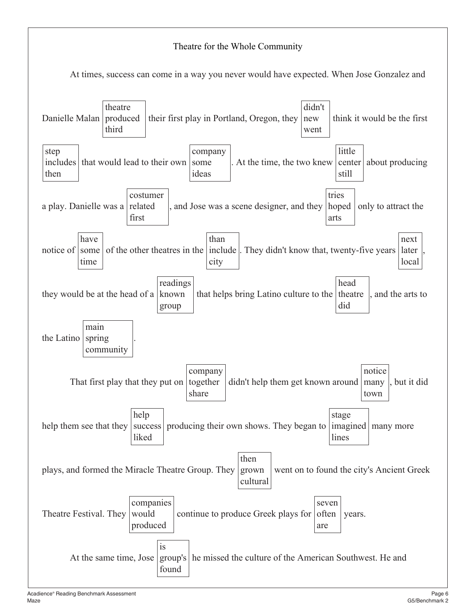#### Theatre for the Whole Community At times, success can come in a way you never would have expected. When Jose Gonzalez and Danielle Malan theatre produced third their first play in Portland, Oregon, they didn't new went think it would be the first step includes that would lead to their own then company some ideas . At the time, the two knew little center about producing still a play. Danielle was a related costumer first , and Jose was a scene designer, and they hoped tries arts only to attract the notice of have some time of the other theatres in the |include|. They didn't know that, twenty-five years | later than city next local , they would be at the head of a readings known group that helps bring Latino culture to the theatre head did , and the arts to the Latino main spring community . That first play that they put on company together share didn't help them get known around many notice town , but it did help them see that they help success | producing their own shows. They began to | imagined | many more liked stage lines plays, and formed the Miracle Theatre Group. They then grown cultural went on to found the city's Ancient Greek Theatre Festival. They companies would produced continue to produce Greek plays for seven often are years. At the same time, Jose is group's he missed the culture of the American Southwest. He andfound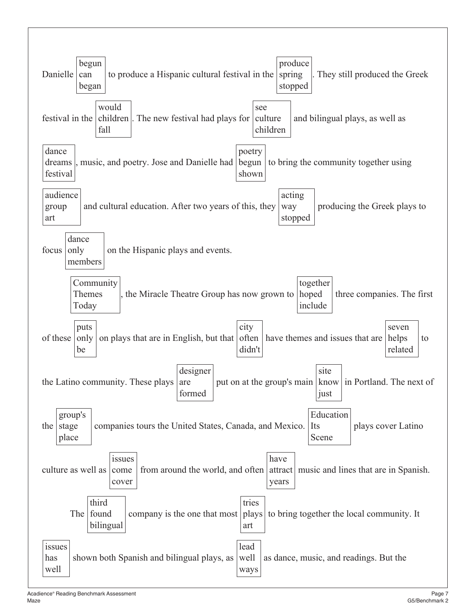